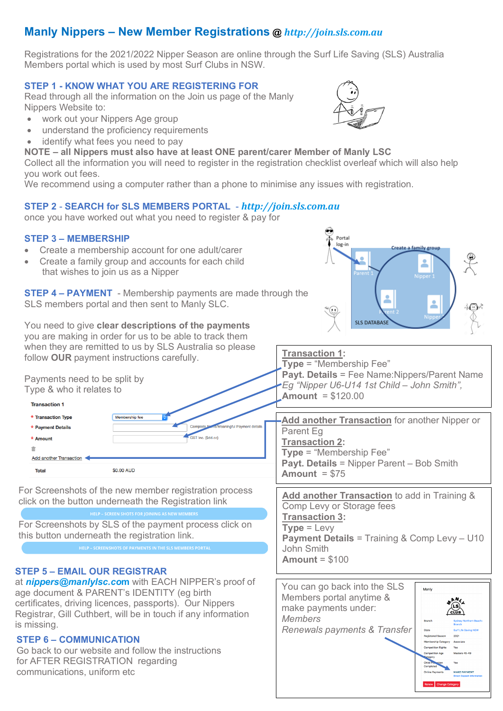## **Manly Nippers – New Member Registrations @** *http://join.sls.com.au*

Registrations for the 2021/2022 Nipper Season are online through the Surf Life Saving (SLS) Australia Members portal which is used by most Surf Clubs in NSW.

#### **STEP 1 - KNOW WHAT YOU ARE REGISTERING FOR**

Read through all the information on the Join us page of the Manly Nippers Website to:

- work out your Nippers Age group
- understand the proficiency requirements
- identify what fees you need to pay
- **NOTE – all Nippers must also have at least ONE parent/carer Member of Manly LSC**

Collect all the information you will need to register in the registration checklist overleaf which will also help you work out fees.

We recommend using a computer rather than a phone to minimise any issues with registration.

#### **STEP 2** - **SEARCH for SLS MEMBERS PORTAL** - *http://join.sls.com.au*

once you have worked out what you need to register & pay for

#### **STEP 3 – MEMBERSHIP**

- Create a membership account for one adult/carer
- Create a family group and accounts for each child that wishes to join us as a Nipper

**STEP 4 – PAYMENT** - Membership payments are made through the SLS members portal and then sent to Manly SLC.

#### You need to give **clear descriptions of the payments** you are making in order for us to be able to track them

when they are remitted to us by SLS Australia so please follow **OUR** payment instructions carefully.



For Screenshots of the new member registration process click on the button underneath the Registration link

For Screenshots by SLS of the payment process click on this button underneath the registration link.

#### **STEP 5 – EMAIL OUR REGISTRAR**

at *nippers@manlylsc.co***m** with EACH NIPPER's proof of age document & PARENT's IDENTITY (eg birth certificates, driving licences, passports). Our Nippers Registrar, Gill Cuthbert, will be in touch if any information is missing.

#### **STEP 6 – COMMUNICATION**

Go back to our website and follow the instructions for AFTER REGISTRATION regarding communications, uniform etc

**Payt. Details** = Fee Name:Nippers/Parent Name

**SLS DATABAS** 

Create a family group

**Add another Transaction** to add in Training & Comp Levy or Storage fees **Transaction 3: Type** = Levy **Payment Details** = Training & Comp Levy – U10 John Smith **Amount** = \$100





Portal log-in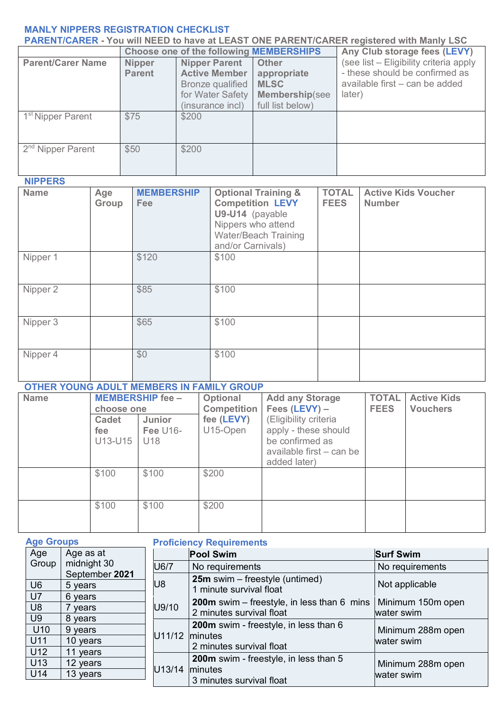### **MANLY NIPPERS REGISTRATION CHECKLIST**

| <b>PARENT/CARER - You will NEED to have at LEAST ONE PARENT/CARER registered with Manly LSC</b> |                                                |                                                                                                          |                                                                                         |                                                                                                                      |  |  |
|-------------------------------------------------------------------------------------------------|------------------------------------------------|----------------------------------------------------------------------------------------------------------|-----------------------------------------------------------------------------------------|----------------------------------------------------------------------------------------------------------------------|--|--|
|                                                                                                 | <b>Choose one of the following MEMBERSHIPS</b> |                                                                                                          |                                                                                         | Any Club storage fees (LEVY)                                                                                         |  |  |
| <b>Parent/Carer Name</b>                                                                        | <b>Nipper</b><br><b>Parent</b>                 | <b>Nipper Parent</b><br><b>Active Member</b><br>Bronze qualified<br>for Water Safety<br>(insurance incl) | <b>Other</b><br>appropriate<br><b>MLSC</b><br><b>Membership(see</b><br>full list below) | (see list - Eligibility criteria apply<br>- these should be confirmed as<br>available first – can be added<br>later) |  |  |
| 1 <sup>st</sup> Nipper Parent                                                                   | \$75                                           | \$200                                                                                                    |                                                                                         |                                                                                                                      |  |  |
| 2 <sup>nd</sup> Nipper Parent                                                                   | \$50                                           | \$200                                                                                                    |                                                                                         |                                                                                                                      |  |  |

**NIPPERS**

| <b>Name</b> | Age<br>Group | <b>MEMBERSHIP</b><br>Fee | <b>Optional Training &amp;</b><br><b>Competition LEVY</b><br>U9-U14 (payable<br>Nippers who attend<br>Water/Beach Training<br>and/or Carnivals) | <b>TOTAL</b><br><b>FEES</b> | <b>Active Kids Voucher</b><br><b>Number</b> |
|-------------|--------------|--------------------------|-------------------------------------------------------------------------------------------------------------------------------------------------|-----------------------------|---------------------------------------------|
| Nipper 1    |              | \$120                    | \$100                                                                                                                                           |                             |                                             |
| Nipper 2    |              | \$85                     | \$100                                                                                                                                           |                             |                                             |
| Nipper 3    |              | \$65                     | \$100                                                                                                                                           |                             |                                             |
| Nipper 4    |              | \$0                      | \$100                                                                                                                                           |                             |                                             |

# **OTHER YOUNG ADULT MEMBERS IN FAMILY GROUP**

| <b>Name</b> | choose one<br>Cadet<br>fee<br>U13-U15 | <b>MEMBERSHIP fee -</b><br>Junior<br><b>Fee U16-</b><br>U18 | Optional<br>Competition  <br>fee (LEVY)<br>U15-Open | <b>Add any Storage</b><br>Fees $(LEVY) -$<br>(Eligibility criteria<br>apply - these should<br>be confirmed as | <b>TOTAL</b><br><b>FEES</b> | <b>Active Kids</b><br><b>Vouchers</b> |
|-------------|---------------------------------------|-------------------------------------------------------------|-----------------------------------------------------|---------------------------------------------------------------------------------------------------------------|-----------------------------|---------------------------------------|
|             |                                       |                                                             |                                                     | available first – can be<br>added later)                                                                      |                             |                                       |
|             | \$100                                 | \$100                                                       | \$200                                               |                                                                                                               |                             |                                       |
|             | \$100                                 | \$100                                                       | \$200                                               |                                                                                                               |                             |                                       |

| <b>Age Groups</b>                |                                | <b>Proficiency Requirements</b> |                                                                                 |                                 |  |  |
|----------------------------------|--------------------------------|---------------------------------|---------------------------------------------------------------------------------|---------------------------------|--|--|
| Age                              | Age as at                      |                                 | <b>Pool Swim</b>                                                                | <b>Surf Swim</b>                |  |  |
| Group                            | midnight 30                    | U6/7                            | No requirements                                                                 | No requirements                 |  |  |
| U <sub>6</sub>                   | September 2021<br>5 years      | U8                              | <b>25m</b> swim – freestyle (untimed)<br>1 minute survival float                | Not applicable                  |  |  |
| U <sub>7</sub><br>U <sub>8</sub> | 6 years<br>vears               | U9/10                           | <b>200m</b> swim – freestyle, in less than $6$ mins<br>2 minutes survival float | Minimum 150m open<br>water swim |  |  |
| U <sub>9</sub><br>U10<br>U11     | 8 years<br>9 years<br>10 years | U11/12                          | 200m swim - freestyle, in less than 6<br><i>Iminutes</i>                        | Minimum 288m open<br>water swim |  |  |
| U12                              | 11 years                       |                                 | 2 minutes survival float                                                        |                                 |  |  |
| U13<br>U14                       | 12 years<br>13 years           | U13/14                          | 200m swim - freestyle, in less than 5<br>minutes<br>3 minutes survival float    | Minimum 288m open<br>water swim |  |  |